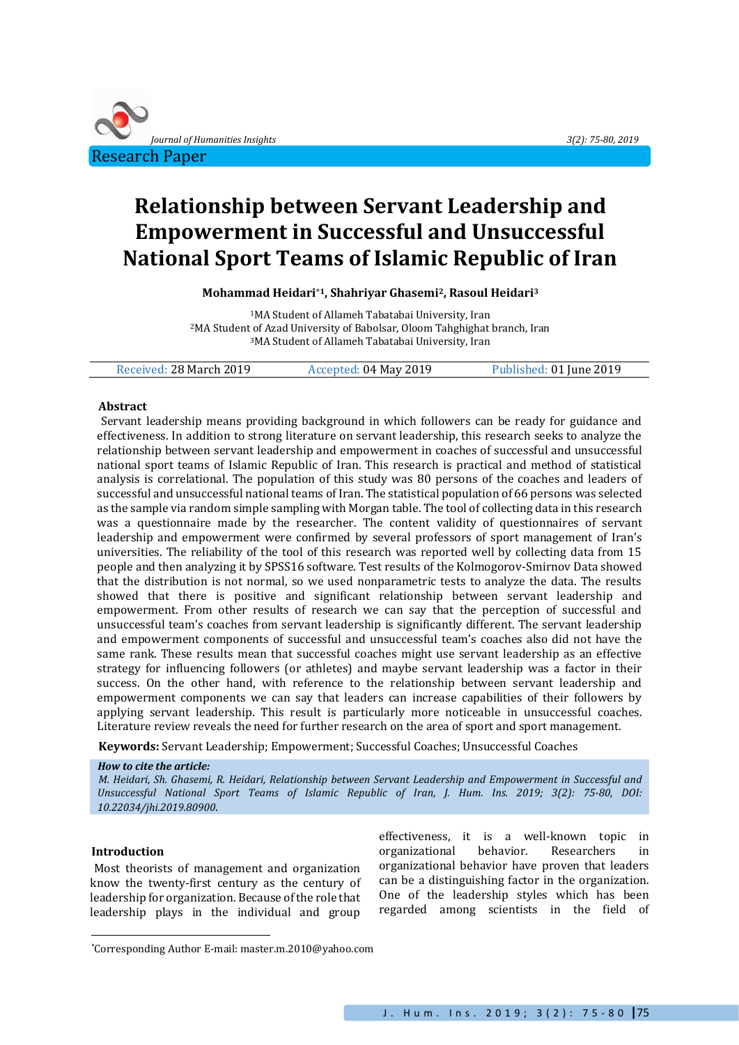

# **Relationship between Servant Leadership and Empowerment in Successful and Unsuccessful National Sport Teams of Islamic Republic of Iran**

**Mohammad Heidari\*<sup>1</sup>, Shahriyar Ghasemi2, Rasoul Heidari<sup>3</sup>**

<sup>1</sup>MA Student of Allameh Tabatabai University, Iran <sup>2</sup>MA Student of Azad University of Babolsar, Oloom Tahghighat branch, Iran <sup>3</sup>MA Student of Allameh Tabatabai University, Iran

Received: 28 March 2019 Accepted: 04 May 2019 Published: 01 June 2019

## **Abstract**

Servant leadership means providing background in which followers can be ready for guidance and effectiveness. In addition to strong literature on servant leadership, this research seeks to analyze the relationship between servant leadership and empowerment in coaches of successful and unsuccessful national sport teams of Islamic Republic of Iran. This research is practical and method of statistical analysis is correlational. The population of this study was 80 persons of the coaches and leaders of successful and unsuccessful national teams of Iran. The statistical population of 66 persons was selected as the sample via random simple sampling with Morgan table. The tool of collecting data in this research was a questionnaire made by the researcher. The content validity of questionnaires of servant leadership and empowerment were confirmed by several professors of sport management of Iran's universities. The reliability of the tool of this research was reported well by collecting data from 15 people and then analyzing it by SPSS16 software. Test results of the Kolmogorov-Smirnov Data showed that the distribution is not normal, so we used nonparametric tests to analyze the data. The results showed that there is positive and significant relationship between servant leadership and empowerment. From other results of research we can say that the perception of successful and unsuccessful team's coaches from servant leadership is significantly different. The servant leadership and empowerment components of successful and unsuccessful team's coaches also did not have the same rank. These results mean that successful coaches might use servant leadership as an effective strategy for influencing followers (or athletes) and maybe servant leadership was a factor in their success. On the other hand, with reference to the relationship between servant leadership and empowerment components we can say that leaders can increase capabilities of their followers by applying servant leadership. This result is particularly more noticeable in unsuccessful coaches. Literature review reveals the need for further research on the area of sport and sport management.

**Keywords:** Servant Leadership; Empowerment; Successful Coaches; Unsuccessful Coaches

#### *How to cite the article:*

*M. Heidari, Sh. Ghasemi, R. Heidari, Relationship between Servant Leadership and Empowerment in Successful and Unsuccessful National Sport Teams of Islamic Republic of Iran, J. Hum. Ins. 2019; 3(2): 75-80, DOI: 10.22034/jhi.2019.80900*.

## **Introduction**

l

Most theorists of management and organization know the twenty-first century as the century of leadership for organization. Because of the role that leadership plays in the individual and group

effectiveness, it is a well-known topic in organizational behavior. Researchers in organizational behavior have proven that leaders can be a distinguishing factor in the organization. One of the leadership styles which has been regarded among scientists in the field of

<sup>\*</sup>Corresponding Author E-mail: master.m.2010@yahoo.com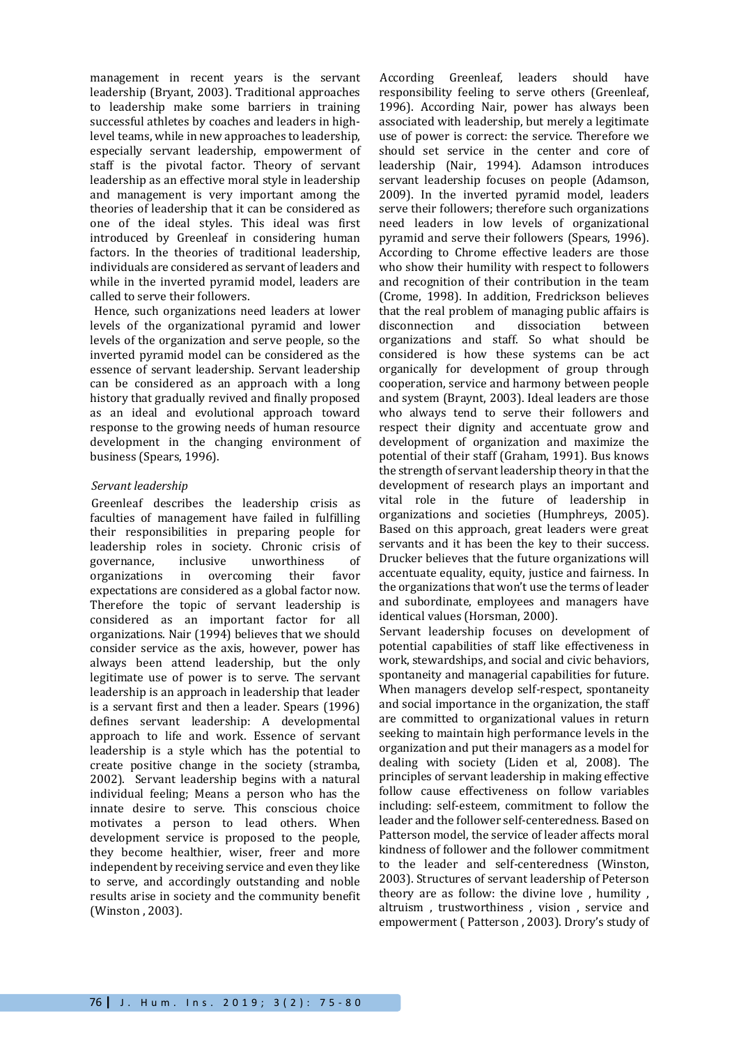management in recent years is the servant leadership (Bryant, 2003). Traditional approaches to leadership make some barriers in training successful athletes by coaches and leaders in highlevel teams, while in new approaches to leadership, especially servant leadership, empowerment of staff is the pivotal factor. Theory of servant leadership as an effective moral style in leadership and management is very important among the theories of leadership that it can be considered as one of the ideal styles. This ideal was first introduced by Greenleaf in considering human factors. In the theories of traditional leadership, individuals are considered as servant of leaders and while in the inverted pyramid model, leaders are called to serve their followers.

Hence, such organizations need leaders at lower levels of the organizational pyramid and lower levels of the organization and serve people, so the inverted pyramid model can be considered as the essence of servant leadership. Servant leadership can be considered as an approach with a long history that gradually revived and finally proposed as an ideal and evolutional approach toward response to the growing needs of human resource development in the changing environment of business (Spears, 1996).

## *Servant leadership*

Greenleaf describes the leadership crisis as faculties of management have failed in fulfilling their responsibilities in preparing people for leadership roles in society. Chronic crisis of governance, inclusive unworthiness of organizations in overcoming their favor expectations are considered as a global factor now. Therefore the topic of servant leadership is considered as an important factor for all organizations. Nair (1994) believes that we should consider service as the axis, however, power has always been attend leadership, but the only legitimate use of power is to serve. The servant leadership is an approach in leadership that leader is a servant first and then a leader. Spears (1996) defines servant leadership: A developmental approach to life and work. Essence of servant leadership is a style which has the potential to create positive change in the society (stramba, 2002). Servant leadership begins with a natural individual feeling; Means a person who has the innate desire to serve. This conscious choice motivates a person to lead others. When development service is proposed to the people, they become healthier, wiser, freer and more independent by receiving service and even they like to serve, and accordingly outstanding and noble results arise in society and the community benefit (Winston , 2003).

According Greenleaf, leaders should have responsibility feeling to serve others (Greenleaf, 1996). According Nair, power has always been associated with leadership, but merely a legitimate use of power is correct: the service. Therefore we should set service in the center and core of leadership (Nair, 1994). Adamson introduces servant leadership focuses on people (Adamson, 2009). In the inverted pyramid model, leaders serve their followers; therefore such organizations need leaders in low levels of organizational pyramid and serve their followers (Spears, 1996). According to Chrome effective leaders are those who show their humility with respect to followers and recognition of their contribution in the team (Crome, 1998). In addition, Fredrickson believes that the real problem of managing public affairs is disconnection and dissociation between organizations and staff. So what should be considered is how these systems can be act organically for development of group through cooperation, service and harmony between people and system (Braynt, 2003). Ideal leaders are those who always tend to serve their followers and respect their dignity and accentuate grow and development of organization and maximize the potential of their staff (Graham, 1991). Bus knows the strength of servant leadership theory in that the development of research plays an important and vital role in the future of leadership in organizations and societies (Humphreys, 2005). Based on this approach, great leaders were great servants and it has been the key to their success. Drucker believes that the future organizations will accentuate equality, equity, justice and fairness. In the organizations that won't use the terms of leader and subordinate, employees and managers have identical values (Horsman, 2000).

Servant leadership focuses on development of potential capabilities of staff like effectiveness in work, stewardships, and social and civic behaviors, spontaneity and managerial capabilities for future. When managers develop self-respect, spontaneity and social importance in the organization, the staff are committed to organizational values in return seeking to maintain high performance levels in the organization and put their managers as a model for dealing with society (Liden et al, 2008). The principles of servant leadership in making effective follow cause effectiveness on follow variables including: self-esteem, commitment to follow the leader and the follower self-centeredness. Based on Patterson model, the service of leader affects moral kindness of follower and the follower commitment to the leader and self-centeredness (Winston, 2003). Structures of servant leadership of Peterson theory are as follow: the divine love , humility , altruism , trustworthiness , vision , service and empowerment ( Patterson , 2003). Drory's study of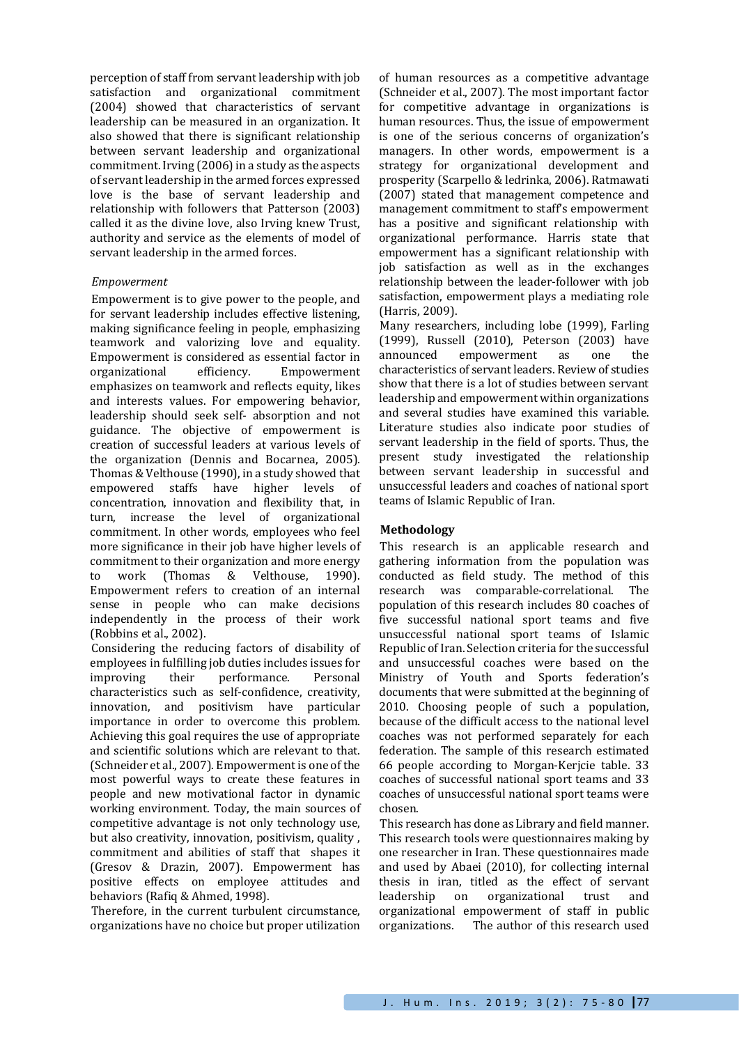perception of staff from servant leadership with job satisfaction and organizational commitment (2004) showed that characteristics of servant leadership can be measured in an organization. It also showed that there is significant relationship between servant leadership and organizational commitment. Irving (2006) in a study as the aspects of servant leadership in the armed forces expressed love is the base of servant leadership and relationship with followers that Patterson (2003) called it as the divine love, also Irving knew Trust, authority and service as the elements of model of servant leadership in the armed forces.

## *Empowerment*

Empowerment is to give power to the people, and for servant leadership includes effective listening, making significance feeling in people, emphasizing teamwork and valorizing love and equality. Empowerment is considered as essential factor in organizational efficiency. Empowerment emphasizes on teamwork and reflects equity, likes and interests values. For empowering behavior, leadership should seek self- absorption and not guidance. The objective of empowerment is creation of successful leaders at various levels of the organization (Dennis and Bocarnea, 2005). Thomas & Velthouse (1990), in a study showed that empowered staffs have higher levels of concentration, innovation and flexibility that, in turn, increase the level of organizational commitment. In other words, employees who feel more significance in their job have higher levels of commitment to their organization and more energy to work (Thomas & Velthouse, 1990). Empowerment refers to creation of an internal sense in people who can make decisions independently in the process of their work (Robbins et al., 2002).

Considering the reducing factors of disability of employees in fulfilling job duties includes issues for improving their performance. Personal characteristics such as self-confidence, creativity, innovation, and positivism have particular importance in order to overcome this problem. Achieving this goal requires the use of appropriate and scientific solutions which are relevant to that. (Schneider et al., 2007). Empowerment is one of the most powerful ways to create these features in people and new motivational factor in dynamic working environment. Today, the main sources of competitive advantage is not only technology use, but also creativity, innovation, positivism, quality , commitment and abilities of staff that shapes it (Gresov & Drazin, 2007). Empowerment has positive effects on employee attitudes and behaviors (Rafiq & Ahmed, 1998).

Therefore, in the current turbulent circumstance, organizations have no choice but proper utilization of human resources as a competitive advantage (Schneider et al., 2007). The most important factor for competitive advantage in organizations is human resources. Thus, the issue of empowerment is one of the serious concerns of organization's managers. In other words, empowerment is a strategy for organizational development and prosperity (Scarpello & ledrinka, 2006). Ratmawati (2007) stated that management competence and management commitment to staff's empowerment has a positive and significant relationship with organizational performance. Harris state that empowerment has a significant relationship with job satisfaction as well as in the exchanges relationship between the leader-follower with job satisfaction, empowerment plays a mediating role (Harris, 2009).

Many researchers, including lobe (1999), Farling (1999), Russell (2010), Peterson (2003) have announced empowerment as one the characteristics of servant leaders. Review of studies show that there is a lot of studies between servant leadership and empowerment within organizations and several studies have examined this variable. Literature studies also indicate poor studies of servant leadership in the field of sports. Thus, the present study investigated the relationship between servant leadership in successful and unsuccessful leaders and coaches of national sport teams of Islamic Republic of Iran.

## **Methodology**

This research is an applicable research and gathering information from the population was conducted as field study. The method of this research was comparable-correlational. The population of this research includes 80 coaches of five successful national sport teams and five unsuccessful national sport teams of Islamic Republic of Iran. Selection criteria for the successful and unsuccessful coaches were based on the Ministry of Youth and Sports federation's documents that were submitted at the beginning of 2010. Choosing people of such a population, because of the difficult access to the national level coaches was not performed separately for each federation. The sample of this research estimated 66 people according to Morgan-Kerjcie table. 33 coaches of successful national sport teams and 33 coaches of unsuccessful national sport teams were chosen.

This research has done as Library and field manner. This research tools were questionnaires making by one researcher in Iran. These questionnaires made and used by Abaei (2010), for collecting internal thesis in iran, titled as the effect of servant leadership on organizational trust and organizational empowerment of staff in public organizations. The author of this research used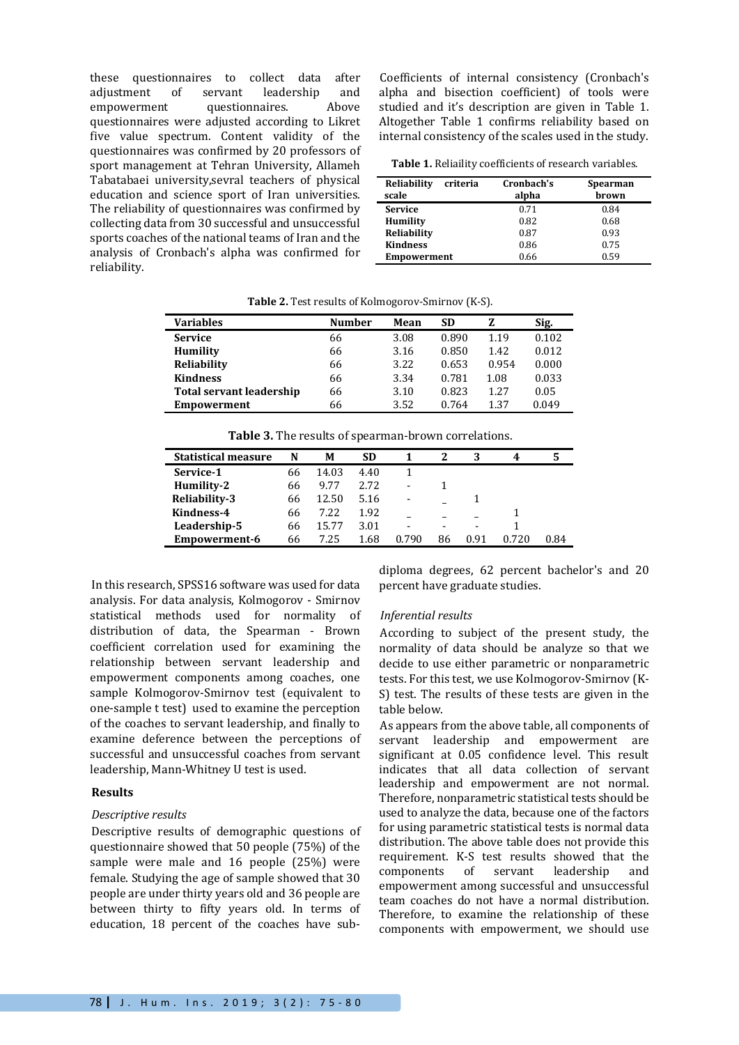these questionnaires to collect data after adjustment of servant leadership and empowerment questionnaires. Above questionnaires were adjusted according to Likret five value spectrum. Content validity of the questionnaires was confirmed by 20 professors of sport management at Tehran University, Allameh Tabatabaei university,sevral teachers of physical education and science sport of Iran universities. The reliability of questionnaires was confirmed by collecting data from 30 successful and unsuccessful sports coaches of the national teams of Iran and the analysis of Cronbach's alpha was confirmed for reliability.

Coefficients of internal consistency (Cronbach's alpha and bisection coefficient) of tools were studied and it's description are given in Table 1. Altogether Table 1 confirms reliability based on internal consistency of the scales used in the study.

**Table 1.** Reliaility coefficients of research variables.

| Reliability<br>criteria<br>scale | Cronbach's<br>alpha | Spearman<br>brown |
|----------------------------------|---------------------|-------------------|
| <b>Service</b>                   | 0.71                | 0.84              |
| Humility                         | 0.82                | 0.68              |
| Reliability                      | 0.87                | 0.93              |
| <b>Kindness</b>                  | 0.86                | 0.75              |
| <b>Empowerment</b>               | 0.66                | 0.59              |

**Table 2.** Test results of Kolmogorov-Smirnov (K-S).

| <b>Variables</b>         | <b>Number</b> | Mean | SD    | z     | Sig.  |
|--------------------------|---------------|------|-------|-------|-------|
| <b>Service</b>           | 66            | 3.08 | 0.890 | 1.19  | 0.102 |
| <b>Humility</b>          | 66            | 3.16 | 0.850 | 1.42  | 0.012 |
| Reliability              | 66            | 3.22 | 0.653 | 0.954 | 0.000 |
| <b>Kindness</b>          | 66            | 3.34 | 0.781 | 1.08  | 0.033 |
| Total servant leadership | 66            | 3.10 | 0.823 | 1.27  | 0.05  |
| Empowerment              | 66            | 3.52 | 0.764 | 1.37  | 0.049 |

| <b>Statistical measure</b> | N  | М     | SD   |       |    |      | 4     |      |
|----------------------------|----|-------|------|-------|----|------|-------|------|
| Service-1                  | 66 | 14.03 | 4.40 |       |    |      |       |      |
| Humility-2                 | 66 | 9.77  | 2.72 | -     |    |      |       |      |
| <b>Reliability-3</b>       | 66 | 12.50 | 5.16 | ٠     |    |      |       |      |
| Kindness-4                 | 66 | 7.22  | 1.92 |       |    |      |       |      |
| Leadership-5               | 66 | 15.77 | 3.01 | -     |    | -    |       |      |
| Empowerment-6              | 66 | 7.25  | 1.68 | 0.790 | 86 | 0.91 | በ 720 | 0.84 |

In this research, SPSS16 software was used for data analysis. For data analysis, Kolmogorov - Smirnov statistical methods used for normality of distribution of data, the Spearman - Brown coefficient correlation used for examining the relationship between servant leadership and empowerment components among coaches, one sample Kolmogorov-Smirnov test (equivalent to one-sample t test) used to examine the perception of the coaches to servant leadership, and finally to examine deference between the perceptions of successful and unsuccessful coaches from servant leadership, Mann-Whitney U test is used.

## **Results**

## *Descriptive results*

Descriptive results of demographic questions of questionnaire showed that 50 people (75%) of the sample were male and 16 people (25%) were female. Studying the age of sample showed that 30 people are under thirty years old and 36 people are between thirty to fifty years old. In terms of education, 18 percent of the coaches have subdiploma degrees, 62 percent bachelor's and 20 percent have graduate studies.

## *Inferential results*

According to subject of the present study, the normality of data should be analyze so that we decide to use either parametric or nonparametric tests. For this test, we use Kolmogorov-Smirnov (K-S) test. The results of these tests are given in the table below.

As appears from the above table, all components of servant leadership and empowerment are significant at 0.05 confidence level. This result indicates that all data collection of servant leadership and empowerment are not normal. Therefore, nonparametric statistical tests should be used to analyze the data, because one of the factors for using parametric statistical tests is normal data distribution. The above table does not provide this requirement. K-S test results showed that the components of servant leadership and empowerment among successful and unsuccessful team coaches do not have a normal distribution. Therefore, to examine the relationship of these components with empowerment, we should use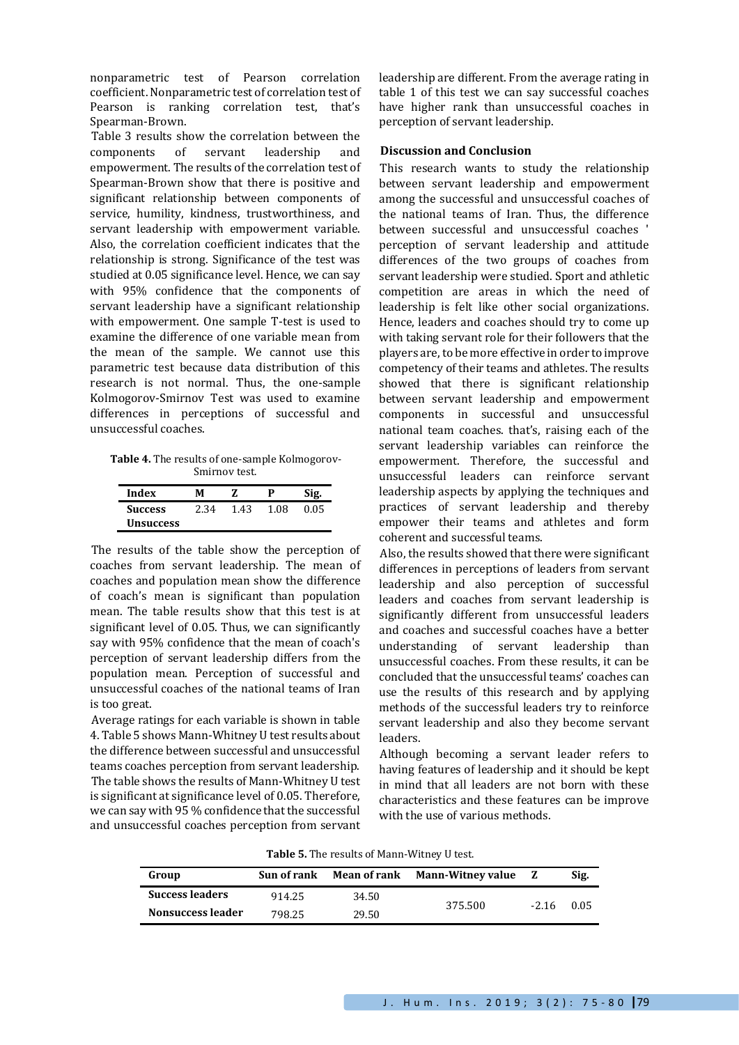nonparametric test of Pearson correlation coefficient. Nonparametric test of correlation test of Pearson is ranking correlation test, that's Spearman-Brown.

Table 3 results show the correlation between the components of servant leadership and empowerment. The results of the correlation test of Spearman-Brown show that there is positive and significant relationship between components of service, humility, kindness, trustworthiness, and servant leadership with empowerment variable. Also, the correlation coefficient indicates that the relationship is strong. Significance of the test was studied at 0.05 significance level. Hence, we can say with 95% confidence that the components of servant leadership have a significant relationship with empowerment. One sample T-test is used to examine the difference of one variable mean from the mean of the sample. We cannot use this parametric test because data distribution of this research is not normal. Thus, the one-sample Kolmogorov-Smirnov Test was used to examine differences in perceptions of successful and unsuccessful coaches.

**Table 4.** The results of one-sample Kolmogorov-Smirnov test.

| Index            | м |      |      | Sig. |
|------------------|---|------|------|------|
| <b>Success</b>   |   | 1.43 | 1.08 | 0.05 |
| <b>Unsuccess</b> |   |      |      |      |

The results of the table show the perception of coaches from servant leadership. The mean of coaches and population mean show the difference of coach's mean is significant than population mean. The table results show that this test is at significant level of 0.05. Thus, we can significantly say with 95% confidence that the mean of coach's perception of servant leadership differs from the population mean. Perception of successful and unsuccessful coaches of the national teams of Iran is too great.

Average ratings for each variable is shown in table 4. Table 5 shows Mann-Whitney U test results about the difference between successful and unsuccessful teams coaches perception from servant leadership. The table shows the results of Mann-Whitney U test is significant at significance level of 0.05. Therefore, we can say with 95 % confidence that the successful and unsuccessful coaches perception from servant leadership are different. From the average rating in table 1 of this test we can say successful coaches have higher rank than unsuccessful coaches in perception of servant leadership.

## **Discussion and Conclusion**

This research wants to study the relationship between servant leadership and empowerment among the successful and unsuccessful coaches of the national teams of Iran. Thus, the difference between successful and unsuccessful coaches ' perception of servant leadership and attitude differences of the two groups of coaches from servant leadership were studied. Sport and athletic competition are areas in which the need of leadership is felt like other social organizations. Hence, leaders and coaches should try to come up with taking servant role for their followers that the players are, to be more effective in order to improve competency of their teams and athletes. The results showed that there is significant relationship between servant leadership and empowerment components in successful and unsuccessful national team coaches. that's, raising each of the servant leadership variables can reinforce the empowerment. Therefore, the successful and unsuccessful leaders can reinforce servant leadership aspects by applying the techniques and practices of servant leadership and thereby empower their teams and athletes and form coherent and successful teams.

Also, the results showed that there were significant differences in perceptions of leaders from servant leadership and also perception of successful leaders and coaches from servant leadership is significantly different from unsuccessful leaders and coaches and successful coaches have a better understanding of servant leadership than unsuccessful coaches. From these results, it can be concluded that the unsuccessful teams' coaches can use the results of this research and by applying methods of the successful leaders try to reinforce servant leadership and also they become servant leaders.

Although becoming a servant leader refers to having features of leadership and it should be kept in mind that all leaders are not born with these characteristics and these features can be improve with the use of various methods.

**Table 5.** The results of Mann-Witney U test.

| Group                    | Sun of rank | <b>Mean of rank</b> | <b>Mann-Witney value</b> |         | Sig. |
|--------------------------|-------------|---------------------|--------------------------|---------|------|
| <b>Success leaders</b>   | 914.25      | 34.50               |                          | $-2.16$ | 0.05 |
| <b>Nonsuccess leader</b> | 798.25      | 29.50               | 375.500                  |         |      |